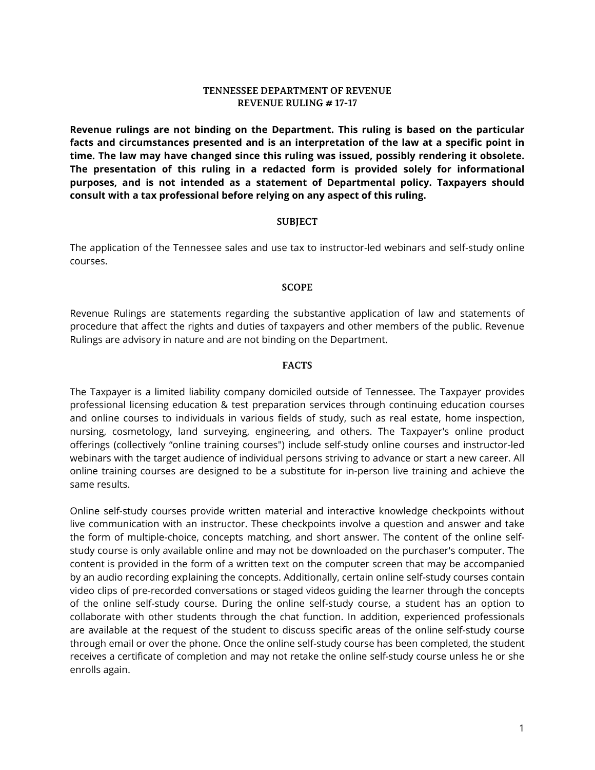### **TENNESSEE DEPARTMENT OF REVENUE REVENUE RULING # 17-17**

**Revenue rulings are not binding on the Department. This ruling is based on the particular facts and circumstances presented and is an interpretation of the law at a specific point in time. The law may have changed since this ruling was issued, possibly rendering it obsolete. The presentation of this ruling in a redacted form is provided solely for informational purposes, and is not intended as a statement of Departmental policy. Taxpayers should consult with a tax professional before relying on any aspect of this ruling.**

#### **SUBJECT**

The application of the Tennessee sales and use tax to instructor-led webinars and self-study online courses.

### **SCOPE**

Revenue Rulings are statements regarding the substantive application of law and statements of procedure that affect the rights and duties of taxpayers and other members of the public. Revenue Rulings are advisory in nature and are not binding on the Department.

### **FACTS**

The Taxpayer is a limited liability company domiciled outside of Tennessee. The Taxpayer provides professional licensing education & test preparation services through continuing education courses and online courses to individuals in various fields of study, such as real estate, home inspection, nursing, cosmetology, land surveying, engineering, and others. The Taxpayer's online product offerings (collectively "online training courses") include self-study online courses and instructor-led webinars with the target audience of individual persons striving to advance or start a new career. All online training courses are designed to be a substitute for in-person live training and achieve the same results.

Online self-study courses provide written material and interactive knowledge checkpoints without live communication with an instructor. These checkpoints involve a question and answer and take the form of multiple-choice, concepts matching, and short answer. The content of the online selfstudy course is only available online and may not be downloaded on the purchaser's computer. The content is provided in the form of a written text on the computer screen that may be accompanied by an audio recording explaining the concepts. Additionally, certain online self-study courses contain video clips of pre-recorded conversations or staged videos guiding the learner through the concepts of the online self-study course. During the online self-study course, a student has an option to collaborate with other students through the chat function. In addition, experienced professionals are available at the request of the student to discuss specific areas of the online self-study course through email or over the phone. Once the online self-study course has been completed, the student receives a certificate of completion and may not retake the online self-study course unless he or she enrolls again.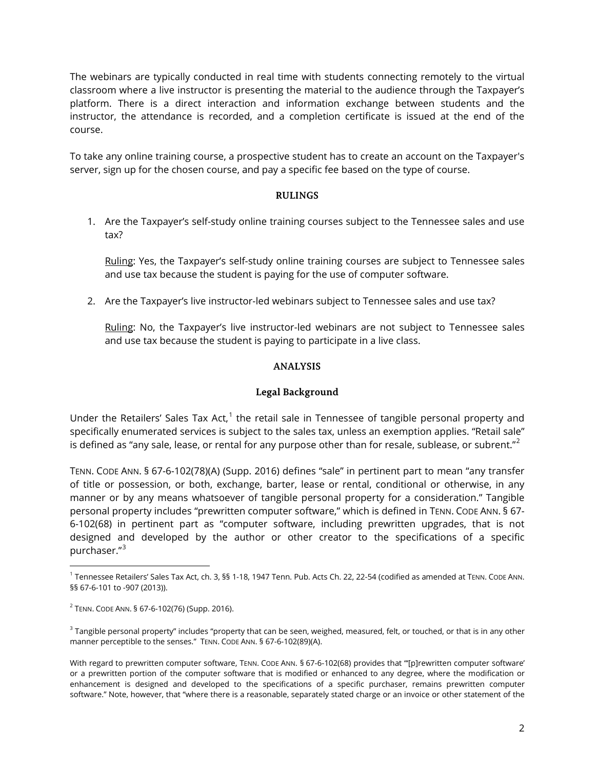The webinars are typically conducted in real time with students connecting remotely to the virtual classroom where a live instructor is presenting the material to the audience through the Taxpayer's platform. There is a direct interaction and information exchange between students and the instructor, the attendance is recorded, and a completion certificate is issued at the end of the course.

To take any online training course, a prospective student has to create an account on the Taxpayer's server, sign up for the chosen course, and pay a specific fee based on the type of course.

## **RULINGS**

1. Are the Taxpayer's self-study online training courses subject to the Tennessee sales and use tax?

Ruling: Yes, the Taxpayer's self-study online training courses are subject to Tennessee sales and use tax because the student is paying for the use of computer software.

2. Are the Taxpayer's live instructor-led webinars subject to Tennessee sales and use tax?

Ruling: No, the Taxpayer's live instructor-led webinars are not subject to Tennessee sales and use tax because the student is paying to participate in a live class.

## **ANALYSIS**

## **Legal Background**

Under the Retailers' Sales Tax Act, $1$  the retail sale in Tennessee of tangible personal property and specifically enumerated services is subject to the sales tax, unless an exemption applies. "Retail sale" is defined as "any sale, lease, or rental for any purpose other than for resale, sublease, or subrent." $^2$  $^2$ 

TENN. CODE ANN. § 67-6-102(78)(A) (Supp. 2016) defines "sale" in pertinent part to mean "any transfer of title or possession, or both, exchange, barter, lease or rental, conditional or otherwise, in any manner or by any means whatsoever of tangible personal property for a consideration." Tangible personal property includes "prewritten computer software," which is defined in TENN. CODE ANN. § 67- 6-102(68) in pertinent part as "computer software, including prewritten upgrades, that is not designed and developed by the author or other creator to the specifications of a specific purchaser."[3](#page-1-2)

 $\overline{a}$ 

<span id="page-1-2"></span><sup>3</sup> Tangible personal property" includes "property that can be seen, weighed, measured, felt, or touched, or that is in any other manner perceptible to the senses." TENN. CODE ANN. § 67-6-102(89)(A).

<span id="page-1-0"></span><sup>1</sup> Tennessee Retailers' Sales Tax Act, ch. 3, §§ 1-18, 1947 Tenn. Pub. Acts Ch. 22, 22-54 (codified as amended at TENN. CODE ANN. §§ 67-6-101 to -907 (2013)).

<span id="page-1-1"></span><sup>2</sup> TENN. CODE ANN. § 67-6-102(76) (Supp. 2016).

With regard to prewritten computer software, TENN. CODE ANN. § 67-6-102(68) provides that "[p]rewritten computer software' or a prewritten portion of the computer software that is modified or enhanced to any degree, where the modification or enhancement is designed and developed to the specifications of a specific purchaser, remains prewritten computer software." Note, however, that "where there is a reasonable, separately stated charge or an invoice or other statement of the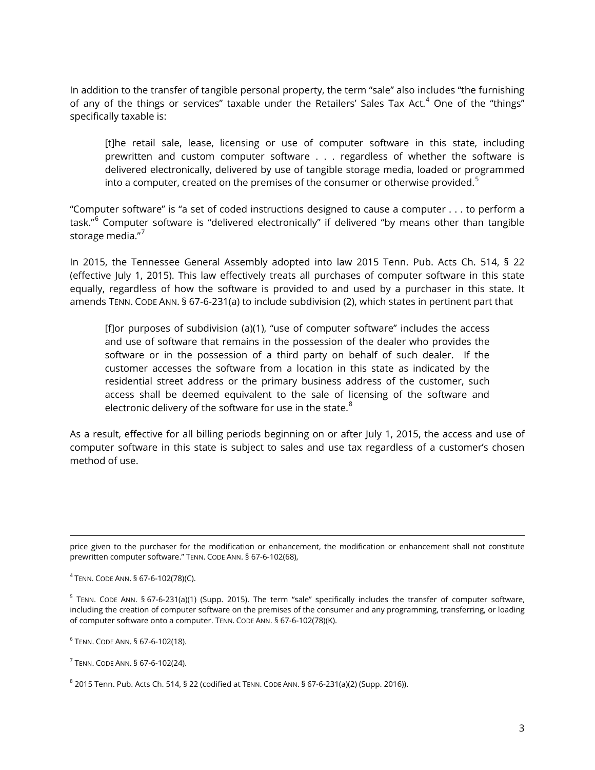In addition to the transfer of tangible personal property, the term "sale" also includes "the furnishing of any of the things or services" taxable under the Retailers' Sales Tax Act.<sup>[4](#page-2-0)</sup> One of the "things" specifically taxable is:

[t]he retail sale, lease, licensing or use of computer software in this state, including prewritten and custom computer software . . . regardless of whether the software is delivered electronically, delivered by use of tangible storage media, loaded or programmed into a computer, created on the premises of the consumer or otherwise provided.<sup>[5](#page-2-1)</sup>

"Computer software" is "a set of coded instructions designed to cause a computer . . . to perform a task."[6](#page-2-2) Computer software is "delivered electronically" if delivered "by means other than tangible storage media."<sup>[7](#page-2-3)</sup>

In 2015, the Tennessee General Assembly adopted into law 2015 Tenn. Pub. Acts Ch. 514, § 22 (effective July 1, 2015). This law effectively treats all purchases of computer software in this state equally, regardless of how the software is provided to and used by a purchaser in this state. It amends TENN. CODE ANN. § 67-6-231(a) to include subdivision (2), which states in pertinent part that

[f]or purposes of subdivision (a)(1), "use of computer software" includes the access and use of software that remains in the possession of the dealer who provides the software or in the possession of a third party on behalf of such dealer. If the customer accesses the software from a location in this state as indicated by the residential street address or the primary business address of the customer, such access shall be deemed equivalent to the sale of licensing of the software and electronic delivery of the software for use in the state. $8$ 

As a result, effective for all billing periods beginning on or after July 1, 2015, the access and use of computer software in this state is subject to sales and use tax regardless of a customer's chosen method of use.

price given to the purchaser for the modification or enhancement, the modification or enhancement shall not constitute prewritten computer software." TENN. CODE ANN. § 67-6-102(68),

<span id="page-2-0"></span> $4$  TENN. CODE ANN. § 67-6-102(78)(C).

 $\overline{a}$ 

<span id="page-2-1"></span> $5$  TENN. CODE ANN. § 67-6-231(a)(1) (Supp. 2015). The term "sale" specifically includes the transfer of computer software, including the creation of computer software on the premises of the consumer and any programming, transferring, or loading of computer software onto a computer. TENN. CODE ANN. § 67-6-102(78)(K).

<span id="page-2-2"></span><sup>6</sup> TENN. CODE ANN. § 67-6-102(18).

<span id="page-2-3"></span><sup>7</sup> TENN. CODE ANN. § 67-6-102(24).

<span id="page-2-4"></span><sup>8</sup> 2015 Tenn. Pub. Acts Ch. 514, § 22 (codified at TENN. CODE ANN. § 67-6-231(a)(2) (Supp. 2016)).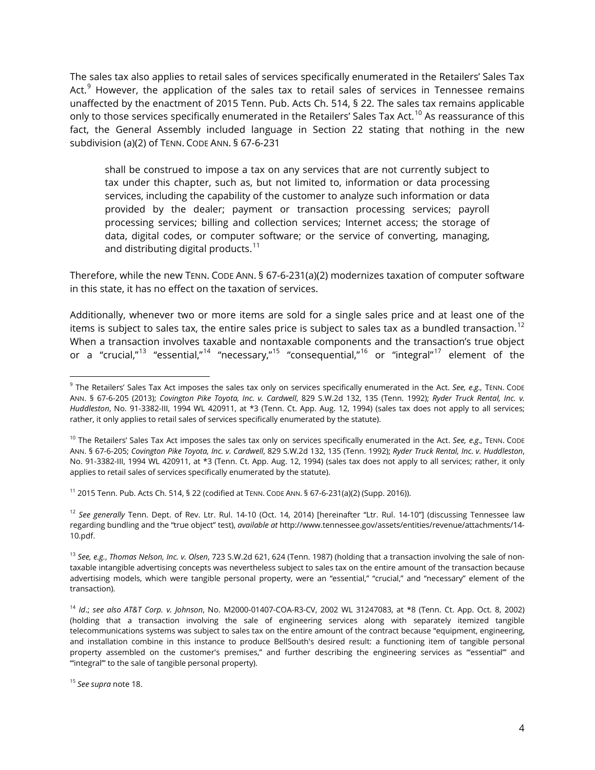The sales tax also applies to retail sales of services specifically enumerated in the Retailers' Sales Tax Act. $9$  However, the application of the sales tax to retail sales of services in Tennessee remains unaffected by the enactment of 2015 Tenn. Pub. Acts Ch. 514, § 22. The sales tax remains applicable only to those services specifically enumerated in the Retailers' Sales Tax Act.<sup>[10](#page-3-1)</sup> As reassurance of this fact, the General Assembly included language in Section 22 stating that nothing in the new subdivision (a)(2) of TENN. CODE ANN. § 67-6-231

shall be construed to impose a tax on any services that are not currently subject to tax under this chapter, such as, but not limited to, information or data processing services, including the capability of the customer to analyze such information or data provided by the dealer; payment or transaction processing services; payroll processing services; billing and collection services; Internet access; the storage of data, digital codes, or computer software; or the service of converting, managing, and distributing digital products. $11$ 

Therefore, while the new TENN. CODE ANN. § 67-6-231(a)(2) modernizes taxation of computer software in this state, it has no effect on the taxation of services.

Additionally, whenever two or more items are sold for a single sales price and at least one of the items is subject to sales tax, the entire sales price is subject to sales tax as a bundled transaction. $^{12}$  $^{12}$  $^{12}$ When a transaction involves taxable and nontaxable components and the transaction's true object or a "crucial,"[13](#page-3-4) "essential,"[14](#page-3-5) "necessary,"[15](#page-3-6) "consequential,"[16](#page-3-7) or "integral"[17](#page-3-8) element of the

<span id="page-3-2"></span><sup>11</sup> 2015 Tenn. Pub. Acts Ch. 514, § 22 (codified at TENN. CODE ANN. § 67-6-231(a)(2) (Supp. 2016)).

<span id="page-3-3"></span><sup>12</sup> *See generally* Tenn. Dept. of Rev. Ltr. Rul. 14-10 (Oct. 14, 2014) [hereinafter "Ltr. Rul. 14-10"] (discussing Tennessee law regarding bundling and the "true object" test), *available at* http://www.tennessee.gov/assets/entities/revenue/attachments/14- 10.pdf.

 $\overline{a}$ 

<span id="page-3-0"></span><sup>&</sup>lt;sup>9</sup> The Retailers' Sales Tax Act imposes the sales tax only on services specifically enumerated in the Act. See, e.g., TENN. CODE ANN. § 67-6-205 (2013); *Covington Pike Toyota, Inc. v. Cardwell*, 829 S.W.2d 132, 135 (Tenn. 1992); *Ryder Truck Rental, Inc. v. Huddleston*, No. 91-3382-III, 1994 WL 420911, at \*3 (Tenn. Ct. App. Aug. 12, 1994) (sales tax does not apply to all services; rather, it only applies to retail sales of services specifically enumerated by the statute).

<span id="page-3-1"></span><sup>&</sup>lt;sup>10</sup> The Retailers' Sales Tax Act imposes the sales tax only on services specifically enumerated in the Act. See, e.g., TENN. CODE ANN. § 67-6-205; *Covington Pike Toyota, Inc. v. Cardwell*, 829 S.W.2d 132, 135 (Tenn. 1992); *Ryder Truck Rental, Inc. v. Huddleston*, No. 91-3382-III, 1994 WL 420911, at \*3 (Tenn. Ct. App. Aug. 12, 1994) (sales tax does not apply to all services; rather, it only applies to retail sales of services specifically enumerated by the statute).

<span id="page-3-4"></span><sup>13</sup> *See, e.g.*, *Thomas Nelson, Inc. v. Olsen*, 723 S.W.2d 621, 624 (Tenn. 1987) (holding that a transaction involving the sale of nontaxable intangible advertising concepts was nevertheless subject to sales tax on the entire amount of the transaction because advertising models, which were tangible personal property, were an "essential," "crucial," and "necessary" element of the transaction).

<span id="page-3-8"></span><span id="page-3-7"></span><span id="page-3-5"></span><sup>14</sup> *Id*.; *see also AT&T Corp. v. Johnson*, No. M2000-01407-COA-R3-CV, 2002 WL 31247083, at \*8 (Tenn. Ct. App. Oct. 8, 2002) (holding that a transaction involving the sale of engineering services along with separately itemized tangible telecommunications systems was subject to sales tax on the entire amount of the contract because "equipment, engineering, and installation combine in this instance to produce BellSouth's desired result: a functioning item of tangible personal property assembled on the customer's premises," and further describing the engineering services as "essential" and "'integral'" to the sale of tangible personal property).

<span id="page-3-6"></span><sup>15</sup> *See supra* note 18.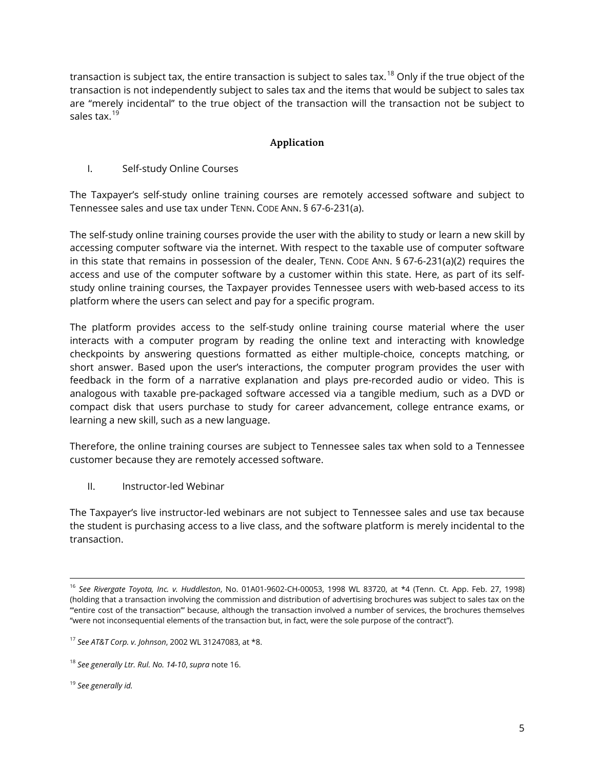transaction is subject tax, the entire transaction is subject to sales tax.<sup>[18](#page-4-0)</sup> Only if the true object of the transaction is not independently subject to sales tax and the items that would be subject to sales tax are "merely incidental" to the true object of the transaction will the transaction not be subject to sales tax.<sup>[19](#page-4-1)</sup>

# **Application**

## I. Self-study Online Courses

The Taxpayer's self-study online training courses are remotely accessed software and subject to Tennessee sales and use tax under TENN. CODE ANN. § 67-6-231(a).

The self-study online training courses provide the user with the ability to study or learn a new skill by accessing computer software via the internet. With respect to the taxable use of computer software in this state that remains in possession of the dealer, TENN. CODE ANN. § 67-6-231(a)(2) requires the access and use of the computer software by a customer within this state. Here, as part of its selfstudy online training courses, the Taxpayer provides Tennessee users with web-based access to its platform where the users can select and pay for a specific program.

The platform provides access to the self-study online training course material where the user interacts with a computer program by reading the online text and interacting with knowledge checkpoints by answering questions formatted as either multiple-choice, concepts matching, or short answer. Based upon the user's interactions, the computer program provides the user with feedback in the form of a narrative explanation and plays pre-recorded audio or video. This is analogous with taxable pre-packaged software accessed via a tangible medium, such as a DVD or compact disk that users purchase to study for career advancement, college entrance exams, or learning a new skill, such as a new language.

Therefore, the online training courses are subject to Tennessee sales tax when sold to a Tennessee customer because they are remotely accessed software.

II. Instructor-led Webinar

The Taxpayer's live instructor-led webinars are not subject to Tennessee sales and use tax because the student is purchasing access to a live class, and the software platform is merely incidental to the transaction.

<span id="page-4-1"></span><sup>19</sup> *See generally id.*

 $\overline{a}$ 

<sup>16</sup> *See Rivergate Toyota, Inc. v. Huddleston*, No. 01A01-9602-CH-00053, 1998 WL 83720, at \*4 (Tenn. Ct. App. Feb. 27, 1998) (holding that a transaction involving the commission and distribution of advertising brochures was subject to sales tax on the "'entire cost of the transaction'" because, although the transaction involved a number of services, the brochures themselves "were not inconsequential elements of the transaction but, in fact, were the sole purpose of the contract").

<sup>17</sup> *See AT&T Corp. v. Johnson*, 2002 WL 31247083, at \*8.

<span id="page-4-0"></span><sup>18</sup> *See generally Ltr. Rul. No. 14-10*, *supra* note 16.